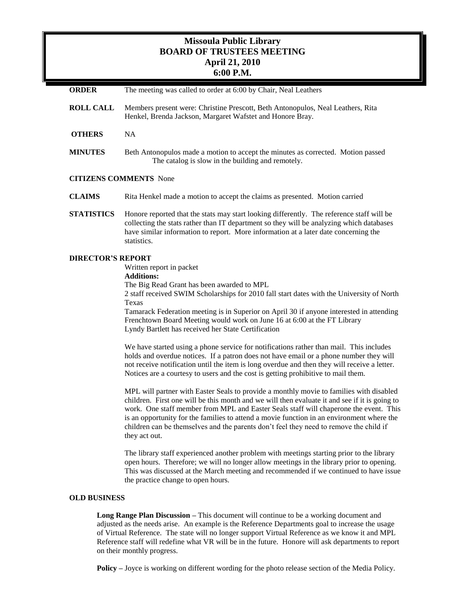# **Missoula Public Library BOARD OF TRUSTEES MEETING April 21, 2010 6:00 P.M.**

**ORDER** The meeting was called to order at 6:00 by Chair, Neal Leathers **ROLL CALL** Members present were: Christine Prescott, Beth Antonopulos, Neal Leathers, Rita Henkel, Brenda Jackson, Margaret Wafstet and Honore Bray. **OTHERS** NA **MINUTES** Beth Antonopulos made a motion to accept the minutes as corrected. Motion passed The catalog is slow in the building and remotely. **CITIZENS COMMENTS** None **CLAIMS** Rita Henkel made a motion to accept the claims as presented. Motion carried **STATISTICS** Honore reported that the stats may start looking differently. The reference staff will be collecting the stats rather than IT department so they will be analyzing which databases have similar information to report. More information at a later date concerning the statistics. **DIRECTOR'S REPORT** Written report in packet **Additions:**  The Big Read Grant has been awarded to MPL 2 staff received SWIM Scholarships for 2010 fall start dates with the University of North Texas Tamarack Federation meeting is in Superior on April 30 if anyone interested in attending Frenchtown Board Meeting would work on June 16 at 6:00 at the FT Library Lyndy Bartlett has received her State Certification

> We have started using a phone service for notifications rather than mail. This includes holds and overdue notices. If a patron does not have email or a phone number they will not receive notification until the item is long overdue and then they will receive a letter. Notices are a courtesy to users and the cost is getting prohibitive to mail them.

MPL will partner with Easter Seals to provide a monthly movie to families with disabled children. First one will be this month and we will then evaluate it and see if it is going to work. One staff member from MPL and Easter Seals staff will chaperone the event. This is an opportunity for the families to attend a movie function in an environment where the children can be themselves and the parents don't feel they need to remove the child if they act out.

The library staff experienced another problem with meetings starting prior to the library open hours. Therefore; we will no longer allow meetings in the library prior to opening. This was discussed at the March meeting and recommended if we continued to have issue the practice change to open hours.

# **OLD BUSINESS**

**Long Range Plan Discussion –** This document will continue to be a working document and adjusted as the needs arise. An example is the Reference Departments goal to increase the usage of Virtual Reference. The state will no longer support Virtual Reference as we know it and MPL Reference staff will redefine what VR will be in the future. Honore will ask departments to report on their monthly progress.

**Policy –** Joyce is working on different wording for the photo release section of the Media Policy.